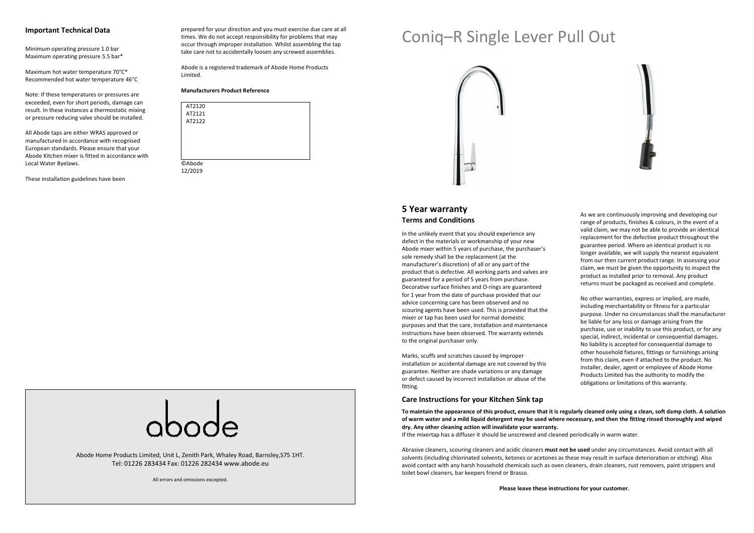#### **Important Technical Data**

Minimum operating pressure 1.0 bar Maximum operating pressure 5.5 bar\*

Maximum hot water temperature 70°C\* Recommended hot water temperature 46°C

Note: If these temperatures or pressures are exceeded, even for short periods, damage can result. In these instances a thermostatic mixing or pressure reducing valve should be installed.

All Abode taps are either WRAS approved or manufactured in accordance with recognised European standards. Please ensure that your Abode Kitchen mixer is fitted in accordance with Local Water Byelaws.

These installation guidelines have been

prepared for your direction and you must exercise due care at all times. We do not accept responsibility for problems that may occur through improper installation. Whilst assembling the tap take care not to accidentally loosen any screwed assemblies.

Abode is a registered trademark of Abode Home Products Limited.

#### **Manufacturers Product Reference**

| AT2120        |  |  |
|---------------|--|--|
| AT2121        |  |  |
| AT2122        |  |  |
|               |  |  |
|               |  |  |
|               |  |  |
|               |  |  |
| <b>©Abode</b> |  |  |
|               |  |  |
| 12/2019       |  |  |

# Coniq–R Single Lever Pull Out





# **5 Year warranty Terms and Conditions**

In the unlikely event that you should experience any defect in the materials or workmanship of your new Abode mixer within 5 years of purchase, the purchaser's sole remedy shall be the replacement (at the manufacturer's discretion) of all or any part of the product that is defective. All working parts and valves are guaranteed for a period of 5 years from purchase. Decorative surface finishes and O-rings are guaranteed for 1 year from the date of purchase provided that our advice concerning care has been observed and no scouring agents have been used. This is provided that the mixer or tap has been used for normal domestic purposes and that the care, installation and maintenance instructions have been observed. The warranty extends to the original purchaser only.

Marks, scuffs and scratches caused by improper installation or accidental damage are not covered by this guarantee. Neither are shade variations or any damage or defect caused by incorrect installation or abuse of the fitting.

**Care Instructions for your Kitchen Sink tap** 

As we are continuously improving and developing our range of products, finishes & colours, in the event of a valid claim, we may not be able to provide an identical replacement for the defective product throughout the guarantee period. Where an identical product is no longer available, we will supply the nearest equivalent from our then current product range. In assessing your claim, we must be given the opportunity to inspect the product as installed prior to removal. Any product returns must be packaged as received and complete.

No other warranties, express or implied, are made, including merchantability or fitness for a particular purpose. Under no circumstances shall the manufacturer be liable for any loss or damage arising from the purchase, use or inability to use this product, or for any special, indirect, incidental or consequential damages. No liability is accepted for consequential damage to other household fixtures, fittings or furnishings arising from this claim, even if attached to the product. No installer, dealer, agent or employee of Abode Home Products Limited has the authority to modify the obligations or limitations of this warranty.

Abode Home Products Limited, Unit L, Zenith Park, Whaley Road, Barnsley,S75 1HT. Tel: 01226 283434 Fax: 01226 282434 www.abode.eu

All errors and omissions excepted.

**To maintain the appearance of this product, ensure that it is regularly cleaned only using a clean, soft damp cloth. A solution of warm water and a mild liquid detergent may be used where necessary, and then the fitting rinsed thoroughly and wiped dry. Any other cleaning action will invalidate your warranty.** 

If the mixertap has a diffuser it should be unscrewed and cleaned periodically in warm water.

Abrasive cleaners, scouring cleaners and acidic cleaners **must not be used** under any circumstances. Avoid contact with all solvents (including chlorinated solvents, ketones or acetones as these may result in surface deterioration or etching). Also avoid contact with any harsh household chemicals such as oven cleaners, drain cleaners, rust removers, paint strippers and toilet bowl cleaners, bar keepers friend or Brasso.

**Please leave these instructions for your customer.**